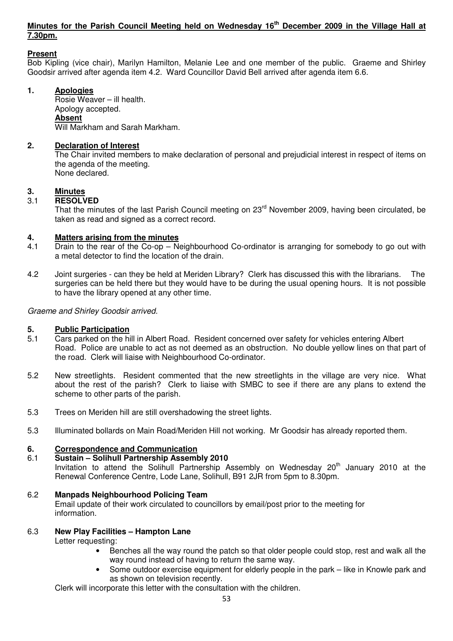#### **Minutes for the Parish Council Meeting held on Wednesday 16th December 2009 in the Village Hall at 7.30pm.**

#### **Present**

Bob Kipling (vice chair), Marilyn Hamilton, Melanie Lee and one member of the public. Graeme and Shirley Goodsir arrived after agenda item 4.2. Ward Councillor David Bell arrived after agenda item 6.6.

#### **1. Apologies**

 Rosie Weaver – ill health. Apology accepted.  **Absent** Will Markham and Sarah Markham.

#### **2. Declaration of Interest**

The Chair invited members to make declaration of personal and prejudicial interest in respect of items on the agenda of the meeting. None declared.

#### **3. Minutes**

#### 3.1 **RESOLVED**

That the minutes of the last Parish Council meeting on 23<sup>rd</sup> November 2009, having been circulated, be taken as read and signed as a correct record.

# **4. Matters arising from the minutes**<br>**4.1** Drain to the rear of the Co-op - Ne

- Drain to the rear of the  $Co$ -op Neighbourhood  $Co$ -ordinator is arranging for somebody to go out with a metal detector to find the location of the drain.
- 4.2 Joint surgeries can they be held at Meriden Library? Clerk has discussed this with the librarians. The surgeries can be held there but they would have to be during the usual opening hours. It is not possible to have the library opened at any other time.

#### Graeme and Shirley Goodsir arrived.

## **5.** Public Participation<br>5.1 Cars parked on the hi

- Cars parked on the hill in Albert Road. Resident concerned over safety for vehicles entering Albert Road. Police are unable to act as not deemed as an obstruction. No double yellow lines on that part of the road. Clerk will liaise with Neighbourhood Co-ordinator.
- 5.2 New streetlights. Resident commented that the new streetlights in the village are very nice. What about the rest of the parish? Clerk to liaise with SMBC to see if there are any plans to extend the scheme to other parts of the parish.
- 5.3 Trees on Meriden hill are still overshadowing the street lights.
- 5.3 Illuminated bollards on Main Road/Meriden Hill not working. Mr Goodsir has already reported them.

#### **6. Correspondence and Communication**

#### 6.1 **Sustain – Solihull Partnership Assembly 2010**

Invitation to attend the Solihull Partnership Assembly on Wednesday 20<sup>th</sup> January 2010 at the Renewal Conference Centre, Lode Lane, Solihull, B91 2JR from 5pm to 8.30pm.

#### 6.2 **Manpads Neighbourhood Policing Team**

 Email update of their work circulated to councillors by email/post prior to the meeting for information.

#### 6.3 **New Play Facilities – Hampton Lane**

Letter requesting:

- Benches all the way round the patch so that older people could stop, rest and walk all the way round instead of having to return the same way.
- Some outdoor exercise equipment for elderly people in the park like in Knowle park and as shown on television recently.

Clerk will incorporate this letter with the consultation with the children.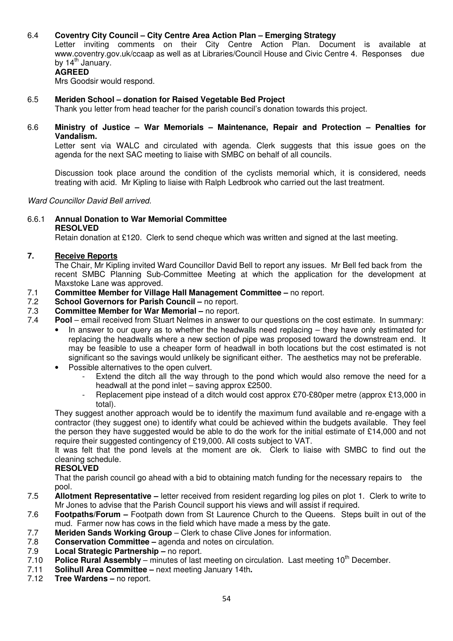#### 6.4 **Coventry City Council – City Centre Area Action Plan – Emerging Strategy**

 Letter inviting comments on their City Centre Action Plan. Document is available at www.coventry.gov.uk/ccaap as well as at Libraries/Council House and Civic Centre 4. Responses due by  $14<sup>th</sup>$  January.

#### **AGREED**

Mrs Goodsir would respond.

#### 6.5 **Meriden School – donation for Raised Vegetable Bed Project**

Thank you letter from head teacher for the parish council's donation towards this project.

6.6 **Ministry of Justice – War Memorials – Maintenance, Repair and Protection – Penalties for Vandalism.** 

 Letter sent via WALC and circulated with agenda. Clerk suggests that this issue goes on the agenda for the next SAC meeting to liaise with SMBC on behalf of all councils.

 Discussion took place around the condition of the cyclists memorial which, it is considered, needs treating with acid. Mr Kipling to liaise with Ralph Ledbrook who carried out the last treatment.

Ward Councillor David Bell arrived.

6.6.1 **Annual Donation to War Memorial Committee RESOLVED** 

Retain donation at £120. Clerk to send cheque which was written and signed at the last meeting.

#### **7. Receive Reports**

 The Chair, Mr Kipling invited Ward Councillor David Bell to report any issues. Mr Bell fed back from the recent SMBC Planning Sub-Committee Meeting at which the application for the development at Maxstoke Lane was approved.

- 7.1 **Committee Member for Village Hall Management Committee** no report.
- 7.2 **School Governors for Parish Council** no report.
- 7.3 **Committee Member for War Memorial –** no report.<br>7.4 **Pool –** email received from Stuart Nelmes in answer
- Pool email received from Stuart Nelmes in answer to our questions on the cost estimate. In summary:
	- In answer to our query as to whether the headwalls need replacing they have only estimated for replacing the headwalls where a new section of pipe was proposed toward the downstream end. It may be feasible to use a cheaper form of headwall in both locations but the cost estimated is not significant so the savings would unlikely be significant either. The aesthetics may not be preferable.
	- Possible alternatives to the open culvert.
		- Extend the ditch all the way through to the pond which would also remove the need for a headwall at the pond inlet – saving approx £2500.
		- Replacement pipe instead of a ditch would cost approx £70-£80per metre (approx £13,000 in total).

They suggest another approach would be to identify the maximum fund available and re-engage with a contractor (they suggest one) to identify what could be achieved within the budgets available. They feel the person they have suggested would be able to do the work for the initial estimate of £14,000 and not require their suggested contingency of £19,000. All costs subject to VAT.

 It was felt that the pond levels at the moment are ok. Clerk to liaise with SMBC to find out the cleaning schedule.

#### **RESOLVED**

 That the parish council go ahead with a bid to obtaining match funding for the necessary repairs to the pool.

- 7.5 **Allotment Representative** letter received from resident regarding log piles on plot 1. Clerk to write to Mr Jones to advise that the Parish Council support his views and will assist if required.
- 7.6 **Footpaths/Forum** Footpath down from St Laurence Church to the Queens. Steps built in out of the mud. Farmer now has cows in the field which have made a mess by the gate.
- 7.7 **Meriden Sands Working Group** Clerk to chase Clive Jones for information.<br>7.8 **Conservation Committee –** agenda and notes on circulation.
- 7.8 **Conservation Committee** agenda and notes on circulation.
- 7.9 **Local Strategic Partnership** no report.
- 7.10 **Police Rural Assembly** minutes of last meeting on circulation. Last meeting 10<sup>th</sup> December.
- 7.11 **Solihull Area Committee** next meeting January 14th**.**
- 7.12 **Tree Wardens** no report.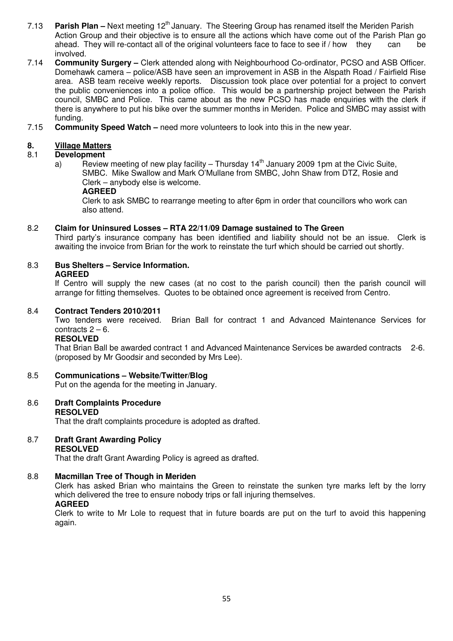- 7.13 **Parish Plan** Next meeting 12<sup>th</sup> January. The Steering Group has renamed itself the Meriden Parish Action Group and their objective is to ensure all the actions which have come out of the Parish Plan go ahead. They will re-contact all of the original volunteers face to face to see if / how they can be involved.
- 7.14 **Community Surgery** Clerk attended along with Neighbourhood Co-ordinator, PCSO and ASB Officer. Domehawk camera – police/ASB have seen an improvement in ASB in the Alspath Road / Fairfield Rise area. ASB team receive weekly reports. Discussion took place over potential for a project to convert the public conveniences into a police office. This would be a partnership project between the Parish council, SMBC and Police. This came about as the new PCSO has made enquiries with the clerk if there is anywhere to put his bike over the summer months in Meriden. Police and SMBC may assist with funding.
- 7.15 **Community Speed Watch** need more volunteers to look into this in the new year.

# **8. Village Matters**<br>8.1 **Development**

#### 8.1 **Development**

a) Review meeting of new play facility – Thursday  $14<sup>th</sup>$  January 2009 1pm at the Civic Suite, SMBC. Mike Swallow and Mark O'Mullane from SMBC, John Shaw from DTZ, Rosie and Clerk – anybody else is welcome.

#### **AGREED**

 Clerk to ask SMBC to rearrange meeting to after 6pm in order that councillors who work can also attend.

#### 8.2 **Claim for Uninsured Losses – RTA 22/11/09 Damage sustained to The Green**

 Third party's insurance company has been identified and liability should not be an issue. Clerk is awaiting the invoice from Brian for the work to reinstate the turf which should be carried out shortly.

#### 8.3 **Bus Shelters – Service Information. AGREED**

 If Centro will supply the new cases (at no cost to the parish council) then the parish council will arrange for fitting themselves. Quotes to be obtained once agreement is received from Centro.

#### 8.4 **Contract Tenders 2010/2011**

 Two tenders were received. Brian Ball for contract 1 and Advanced Maintenance Services for contracts  $2 - 6$ .

#### **RESOLVED**

 That Brian Ball be awarded contract 1 and Advanced Maintenance Services be awarded contracts 2-6. (proposed by Mr Goodsir and seconded by Mrs Lee).

- 8.5 **Communications Website/Twitter/Blog** Put on the agenda for the meeting in January.
- 8.6 **Draft Complaints Procedure RESOLVED**  That the draft complaints procedure is adopted as drafted.
- 8.7 **Draft Grant Awarding Policy RESOLVED**

That the draft Grant Awarding Policy is agreed as drafted.

#### 8.8 **Macmillan Tree of Though in Meriden**

Clerk has asked Brian who maintains the Green to reinstate the sunken tyre marks left by the lorry which delivered the tree to ensure nobody trips or fall injuring themselves.

#### **AGREED**

 Clerk to write to Mr Lole to request that in future boards are put on the turf to avoid this happening again.